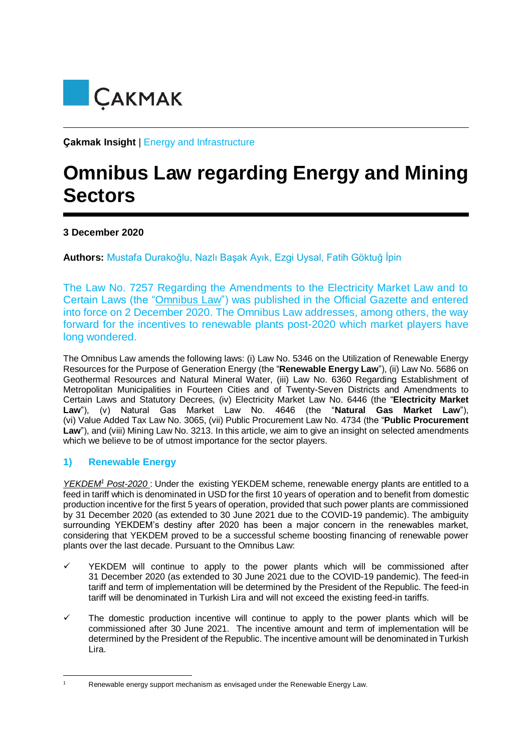

**Çakmak Insight** | Energy and Infrastructure

# **Omnibus Law regarding Energy and Mining Sectors**

# **3 December 2020**

**Authors:** Mustafa Durakoğlu, Nazlı Başak Ayık, Ezgi Uysal, Fatih Göktuğ İpin

The Law No. 7257 Regarding the Amendments to the Electricity Market Law and to Certain Laws (the "Omnibus Law") was published in the Official Gazette and entered into force on 2 December 2020. The Omnibus Law addresses, among others, the way forward for the incentives to renewable plants post-2020 which market players have long wondered.

The Omnibus Law amends the following laws: (i) Law No. 5346 on the Utilization of Renewable Energy Resources for the Purpose of Generation Energy (the "**Renewable Energy Law**"), (ii) Law No. 5686 on Geothermal Resources and Natural Mineral Water, (iii) Law No. 6360 Regarding Establishment of Metropolitan Municipalities in Fourteen Cities and of Twenty-Seven Districts and Amendments to Certain Laws and Statutory Decrees, (iv) Electricity Market Law No. 6446 (the "**Electricity Market Law**"), (v) Natural Gas Market Law No. 4646 (the "**Natural Gas Market Law**"), (vi) Value Added Tax Law No. 3065, (vii) Public Procurement Law No. 4734 (the "**Public Procurement**  Law"), and (viii) Mining Law No. 3213. In this article, we aim to give an insight on selected amendments which we believe to be of utmost importance for the sector players.

## **1) Renewable Energy**

*YEKDEM<sup>1</sup> Post-2020* : Under the existing YEKDEM scheme, renewable energy plants are entitled to a feed in tariff which is denominated in USD for the first 10 years of operation and to benefit from domestic production incentive for the first 5 years of operation, provided that such power plants are commissioned by 31 December 2020 (as extended to 30 June 2021 due to the COVID-19 pandemic). The ambiguity surrounding YEKDEM's destiny after 2020 has been a major concern in the renewables market, considering that YEKDEM proved to be a successful scheme boosting financing of renewable power plants over the last decade. Pursuant to the Omnibus Law:

- YEKDEM will continue to apply to the power plants which will be commissioned after 31 December 2020 (as extended to 30 June 2021 due to the COVID-19 pandemic). The feed-in tariff and term of implementation will be determined by the President of the Republic. The feed-in tariff will be denominated in Turkish Lira and will not exceed the existing feed-in tariffs.
- $\checkmark$  The domestic production incentive will continue to apply to the power plants which will be commissioned after 30 June 2021. The incentive amount and term of implementation will be determined by the President of the Republic. The incentive amount will be denominated in Turkish Lira.

**<sup>.</sup>** 

Renewable energy support mechanism as envisaged under the Renewable Energy Law.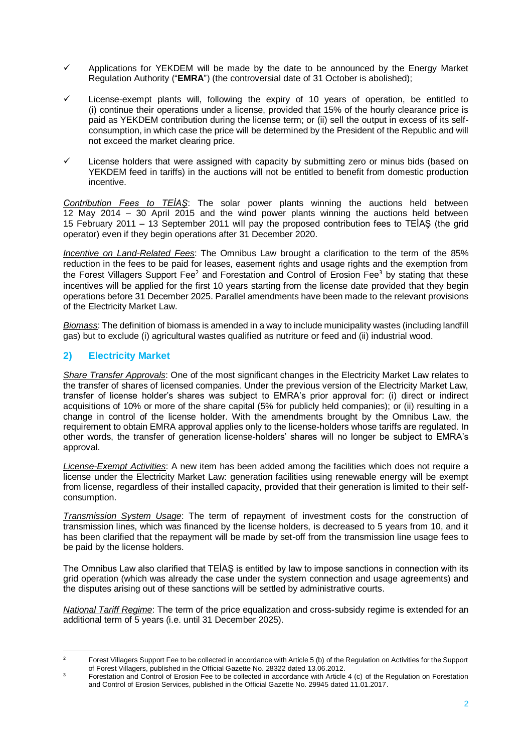- Applications for YEKDEM will be made by the date to be announced by the Energy Market Regulation Authority ("**EMRA**") (the controversial date of 31 October is abolished);
- License-exempt plants will, following the expiry of 10 years of operation, be entitled to (i) continue their operations under a license, provided that 15% of the hourly clearance price is paid as YEKDEM contribution during the license term; or (ii) sell the output in excess of its selfconsumption, in which case the price will be determined by the President of the Republic and will not exceed the market clearing price.
- $\checkmark$  License holders that were assigned with capacity by submitting zero or minus bids (based on YEKDEM feed in tariffs) in the auctions will not be entitled to benefit from domestic production incentive.

*Contribution Fees to TEİAŞ*: The solar power plants winning the auctions held between 12 May 2014 – 30 April 2015 and the wind power plants winning the auctions held between 15 February 2011 – 13 September 2011 will pay the proposed contribution fees to TEİAŞ (the grid operator) even if they begin operations after 31 December 2020.

*Incentive on Land-Related Fees*: The Omnibus Law brought a clarification to the term of the 85% reduction in the fees to be paid for leases, easement rights and usage rights and the exemption from the Forest Villagers Support Fee<sup>2</sup> and Forestation and Control of Erosion Fee<sup>3</sup> by stating that these incentives will be applied for the first 10 years starting from the license date provided that they begin operations before 31 December 2025. Parallel amendments have been made to the relevant provisions of the Electricity Market Law.

*Biomass*: The definition of biomass is amended in a way to include municipality wastes (including landfill gas) but to exclude (i) agricultural wastes qualified as nutriture or feed and (ii) industrial wood.

# **2) Electricity Market**

*Share Transfer Approvals*: One of the most significant changes in the Electricity Market Law relates to the transfer of shares of licensed companies. Under the previous version of the Electricity Market Law, transfer of license holder's shares was subject to EMRA's prior approval for: (i) direct or indirect acquisitions of 10% or more of the share capital (5% for publicly held companies); or (ii) resulting in a change in control of the license holder. With the amendments brought by the Omnibus Law, the requirement to obtain EMRA approval applies only to the license-holders whose tariffs are regulated. In other words, the transfer of generation license-holders' shares will no longer be subject to EMRA's approval.

*License-Exempt Activities*: A new item has been added among the facilities which does not require a license under the Electricity Market Law: generation facilities using renewable energy will be exempt from license, regardless of their installed capacity, provided that their generation is limited to their selfconsumption.

*Transmission System Usage*: The term of repayment of investment costs for the construction of transmission lines, which was financed by the license holders, is decreased to 5 years from 10, and it has been clarified that the repayment will be made by set-off from the transmission line usage fees to be paid by the license holders.

The Omnibus Law also clarified that TEİAŞ is entitled by law to impose sanctions in connection with its grid operation (which was already the case under the system connection and usage agreements) and the disputes arising out of these sanctions will be settled by administrative courts.

*National Tariff Regime*: The term of the price equalization and cross-subsidy regime is extended for an additional term of 5 years (i.e. until 31 December 2025).

 $\overline{z}$ <sup>2</sup> Forest Villagers Support Fee to be collected in accordance with Article 5 (b) of the Regulation on Activities for the Support of Forest Villagers, published in the Official Gazette No. 28322 dated 13.06.2012.

Forestation and Control of Erosion Fee to be collected in accordance with Article 4 (c) of the Regulation on Forestation and Control of Erosion Services, published in the Official Gazette No. 29945 dated 11.01.2017.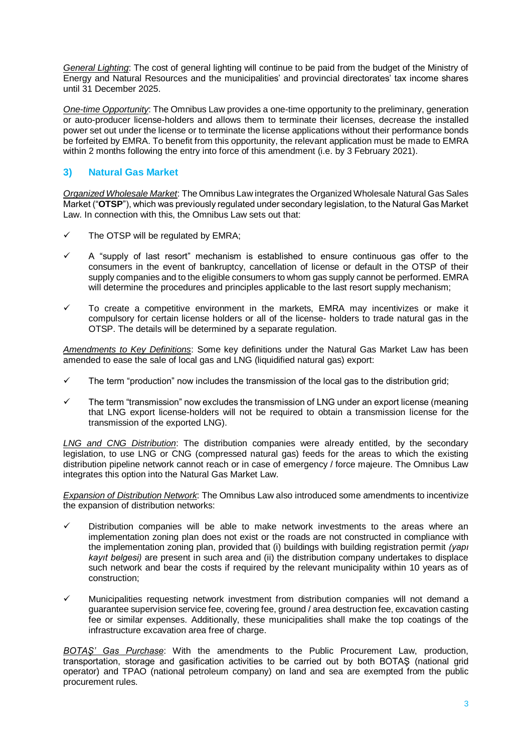*General Lighting*: The cost of general lighting will continue to be paid from the budget of the Ministry of Energy and Natural Resources and the municipalities' and provincial directorates' tax income shares until 31 December 2025.

*One-time Opportunity*: The Omnibus Law provides a one-time opportunity to the preliminary, generation or auto-producer license-holders and allows them to terminate their licenses, decrease the installed power set out under the license or to terminate the license applications without their performance bonds be forfeited by EMRA. To benefit from this opportunity, the relevant application must be made to EMRA within 2 months following the entry into force of this amendment (i.e. by 3 February 2021).

## **3) Natural Gas Market**

*Organized Wholesale Market*: The Omnibus Law integrates the Organized Wholesale Natural Gas Sales Market ("**OTSP**"), which was previously regulated under secondary legislation, to the Natural Gas Market Law. In connection with this, the Omnibus Law sets out that:

- The OTSP will be regulated by EMRA;
- $\checkmark$  A "supply of last resort" mechanism is established to ensure continuous gas offer to the consumers in the event of bankruptcy, cancellation of license or default in the OTSP of their supply companies and to the eligible consumers to whom gas supply cannot be performed. EMRA will determine the procedures and principles applicable to the last resort supply mechanism;
- $\checkmark$  To create a competitive environment in the markets. EMRA may incentivizes or make it compulsory for certain license holders or all of the license- holders to trade natural gas in the OTSP. The details will be determined by a separate regulation.

*Amendments to Key Definitions*: Some key definitions under the Natural Gas Market Law has been amended to ease the sale of local gas and LNG (liquidified natural gas) export:

- $\checkmark$  The term "production" now includes the transmission of the local gas to the distribution grid;
- The term "transmission" now excludes the transmission of LNG under an export license (meaning that LNG export license-holders will not be required to obtain a transmission license for the transmission of the exported LNG).

*LNG and CNG Distribution*: The distribution companies were already entitled, by the secondary legislation, to use LNG or CNG (compressed natural gas) feeds for the areas to which the existing distribution pipeline network cannot reach or in case of emergency / force majeure. The Omnibus Law integrates this option into the Natural Gas Market Law.

*Expansion of Distribution Network*: The Omnibus Law also introduced some amendments to incentivize the expansion of distribution networks:

- $\checkmark$  Distribution companies will be able to make network investments to the areas where an implementation zoning plan does not exist or the roads are not constructed in compliance with the implementation zoning plan, provided that (i) buildings with building registration permit *(yapı kayıt belgesi)* are present in such area and (ii) the distribution company undertakes to displace such network and bear the costs if required by the relevant municipality within 10 years as of construction;
- $\checkmark$  Municipalities requesting network investment from distribution companies will not demand a guarantee supervision service fee, covering fee, ground / area destruction fee, excavation casting fee or similar expenses. Additionally, these municipalities shall make the top coatings of the infrastructure excavation area free of charge.

*BOTAŞ' Gas Purchase*: With the amendments to the Public Procurement Law, production, transportation, storage and gasification activities to be carried out by both BOTAŞ (national grid operator) and TPAO (national petroleum company) on land and sea are exempted from the public procurement rules.